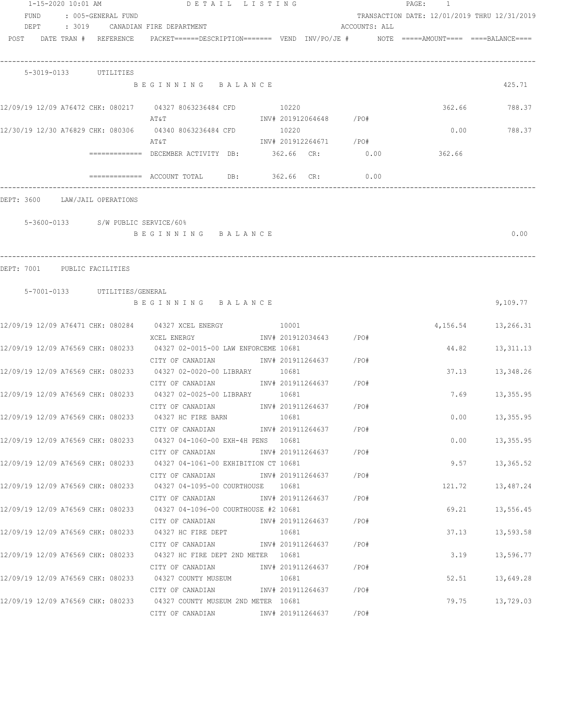|            |      | 1-15-2020 10:01 AM |                                    | DETAIL LISTING                                                                                                  |       |       |                        |                        | PAGE:<br>$\overline{1}$                      |                      |
|------------|------|--------------------|------------------------------------|-----------------------------------------------------------------------------------------------------------------|-------|-------|------------------------|------------------------|----------------------------------------------|----------------------|
|            | FUND |                    | : 005-GENERAL FUND                 |                                                                                                                 |       |       |                        |                        | TRANSACTION DATE: 12/01/2019 THRU 12/31/2019 |                      |
|            |      |                    |                                    | DEPT : 3019 CANADIAN FIRE DEPARTMENT                                                                            |       |       |                        | ACCOUNTS: ALL          |                                              |                      |
|            |      |                    |                                    | POST DATE TRAN # REFERENCE PACKET======DESCRIPTION======= VEND INV/PO/JE # NOTE =====AMOUNT==== ====BALANCE==== |       |       |                        |                        |                                              |                      |
|            |      |                    | 5-3019-0133 UTILITIES              |                                                                                                                 |       |       |                        |                        |                                              |                      |
|            |      |                    |                                    | BEGINNING BALANCE                                                                                               |       |       |                        |                        |                                              | 425.71               |
|            |      |                    |                                    | 12/09/19 12/09 A76472 CHK: 080217 04327 8063236484 CFD 10220<br>AT&T                                            |       |       | INV# 201912064648 /PO# |                        |                                              | 362.66 788.37        |
|            |      |                    |                                    | 12/30/19 12/30 A76829 CHK: 080306 04340 8063236484 CFD                                                          | 10220 |       |                        |                        | 0.00                                         | 788.37               |
|            |      |                    |                                    | AT & T                                                                                                          |       |       |                        | INV# 201912264671 /PO# |                                              |                      |
|            |      |                    |                                    | ============= DECEMBER ACTIVITY DB: 362.66 CR: 0.00                                                             |       |       |                        |                        | 362.66                                       |                      |
|            |      |                    |                                    | $\text{---}\text{---}\text{---}\text{---}$ ACCOUNT TOTAL DB: 362.66 CR:                                         |       |       |                        | 0.00                   |                                              |                      |
|            |      |                    |                                    |                                                                                                                 |       |       |                        |                        |                                              |                      |
| DEPT: 3600 |      |                    | LAW/JAIL OPERATIONS                |                                                                                                                 |       |       |                        |                        |                                              |                      |
|            |      |                    | 5-3600-0133 S/W PUBLIC SERVICE/60% |                                                                                                                 |       |       |                        |                        |                                              |                      |
|            |      |                    |                                    | BEGINNING BALANCE                                                                                               |       |       |                        |                        |                                              | 0.00                 |
|            |      |                    | DEPT: 7001 PUBLIC FACILITIES       |                                                                                                                 |       |       |                        |                        |                                              |                      |
|            |      |                    | 5-7001-0133 UTILITIES/GENERAL      |                                                                                                                 |       |       |                        |                        |                                              |                      |
|            |      |                    |                                    | BEGINNING BALANCE                                                                                               |       |       |                        |                        |                                              | 9,109.77             |
|            |      |                    |                                    | 12/09/19 12/09 A76471 CHK: 080284 04327 XCEL ENERGY 10001                                                       |       |       |                        |                        |                                              | 4, 156.54 13, 266.31 |
|            |      |                    |                                    | XCEL ENERGY                                                                                                     |       |       | INV# 201912034643 /PO# |                        |                                              |                      |
|            |      |                    |                                    | 12/09/19 12/09 A76569 CHK: 080233 04327 02-0015-00 LAW ENFORCEME 10681                                          |       |       |                        |                        | 44.82                                        | 13,311.13            |
|            |      |                    |                                    | CITY OF CANADIAN 1NV# 201911264637 / PO#                                                                        |       |       |                        |                        |                                              |                      |
|            |      |                    |                                    | 12/09/19 12/09 A76569 CHK: 080233 04327 02-0020-00 LIBRARY 10681                                                |       |       |                        |                        | 37.13                                        | 13,348.26            |
|            |      |                    |                                    | CITY OF CANADIAN                                                                                                |       |       | INV# 201911264637 /PO# |                        |                                              |                      |
|            |      |                    |                                    | 12/09/19 12/09 A76569 CHK: 080233 04327 02-0025-00 LIBRARY 10681                                                |       |       |                        |                        | 7.69                                         | 13,355.95            |
|            |      |                    |                                    | CITY OF CANADIAN 1NV# 201911264637                                                                              |       |       |                        | /PO#                   |                                              |                      |
|            |      |                    |                                    | 12/09/19 12/09 A76569 CHK: 080233 04327 HC FIRE BARN<br>CITY OF CANADIAN                                        |       | 10681 | INV# 201911264637 /PO# |                        |                                              | $0.00$ 13,355.95     |
|            |      |                    |                                    | 12/09/19 12/09 A76569 CHK: 080233 04327 04-1060-00 EXH-4H PENS 10681                                            |       |       |                        |                        |                                              | $0.00$ 13,355.95     |
|            |      |                    |                                    | CITY OF CANADIAN 1NV# 201911264637 / PO#                                                                        |       |       |                        |                        |                                              |                      |
|            |      |                    |                                    | 12/09/19 12/09 A76569 CHK: 080233 04327 04-1061-00 EXHIBITION CT 10681                                          |       |       |                        |                        |                                              | $9.57$ 13,365.52     |
|            |      |                    |                                    | CITY OF CANADIAN 1NV# 201911264637 / PO#                                                                        |       |       |                        |                        |                                              |                      |
|            |      |                    |                                    | 12/09/19 12/09 A76569 CHK: 080233 04327 04-1095-00 COURTHOUSE 10681                                             |       |       |                        |                        |                                              | 121.72 13,487.24     |
|            |      |                    |                                    | CITY OF CANADIAN 1NV# 201911264637 / PO#                                                                        |       |       |                        |                        |                                              |                      |
|            |      |                    |                                    | 12/09/19 12/09 A76569 CHK: 080233 04327 04-1096-00 COURTHOUSE #2 10681                                          |       |       |                        |                        | 69.21                                        | 13,556.45            |
|            |      |                    |                                    |                                                                                                                 |       |       |                        |                        |                                              |                      |
|            |      |                    |                                    | 12/09/19 12/09 A76569 CHK: 080233 04327 HC FIRE DEPT 10681                                                      |       |       |                        |                        | 37.13                                        | 13,593.58            |
|            |      |                    |                                    | CITY OF CANADIAN                                                                                                |       |       | INV# 201911264637 /PO# |                        |                                              |                      |
|            |      |                    |                                    | 12/09/19 12/09 A76569 CHK: 080233 04327 HC FIRE DEPT 2ND METER 10681                                            |       |       |                        |                        |                                              | 3.19 13,596.77       |
|            |      |                    |                                    | CITY OF CANADIAN                                                                                                |       |       | INV# 201911264637 /PO# |                        |                                              |                      |
|            |      |                    |                                    | 12/09/19 12/09 A76569 CHK: 080233 04327 COUNTY MUSEUM                                                           | 10681 |       |                        |                        |                                              | 52.51 13,649.28      |
|            |      |                    |                                    | CITY OF CANADIAN                                                                                                |       |       | INV# 201911264637 /PO# |                        |                                              |                      |
|            |      |                    |                                    | 12/09/19 12/09 A76569 CHK: 080233 04327 COUNTY MUSEUM 2ND METER 10681                                           |       |       |                        |                        |                                              | 79.75 13,729.03      |
|            |      |                    |                                    | CITY OF CANADIAN 1NV# 201911264637 / PO#                                                                        |       |       |                        |                        |                                              |                      |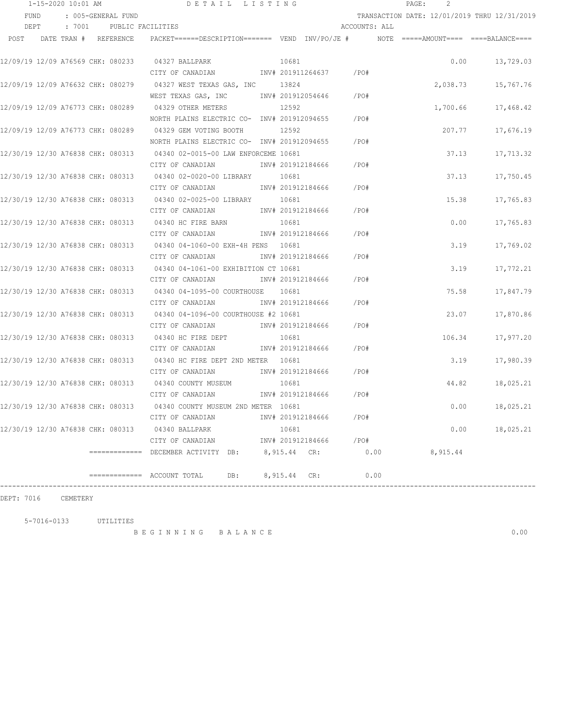| 1-15-2020 10:01 AM                |                            |                       |  | DETAIL LISTING                                                                           |  |              |                   | 2<br>$\mathtt{PAGE}$ :  |                                              |          |                   |
|-----------------------------------|----------------------------|-----------------------|--|------------------------------------------------------------------------------------------|--|--------------|-------------------|-------------------------|----------------------------------------------|----------|-------------------|
|                                   | : 005-GENERAL FUND<br>FUND |                       |  |                                                                                          |  |              |                   |                         | TRANSACTION DATE: 12/01/2019 THRU 12/31/2019 |          |                   |
| DEPT                              |                            | : 7001                |  | PUBLIC FACILITIES                                                                        |  |              |                   | ACCOUNTS: ALL           |                                              |          |                   |
| POST                              |                            | DATE TRAN # REFERENCE |  | PACKET======DESCRIPTION======= VEND INV/PO/JE #     NOTE =====AMOUNT==== ====BALANCE==== |  |              |                   |                         |                                              |          |                   |
|                                   |                            |                       |  | 12/09/19 12/09 A76569 CHK: 080233 04327 BALLPARK                                         |  | 10681        |                   |                         |                                              | 0.00     | 13,729.03         |
|                                   |                            |                       |  | CITY OF CANADIAN                                                                         |  |              |                   | INV# 201911264637 / PO# |                                              |          |                   |
|                                   |                            |                       |  | 12/09/19 12/09 A76632 CHK: 080279 04327 WEST TEXAS GAS, INC 13824                        |  |              |                   |                         |                                              | 2,038.73 | 15,767.76         |
|                                   |                            |                       |  | WEST TEXAS GAS, INC        INV# 201912054646     /PO#                                    |  |              |                   |                         |                                              |          |                   |
|                                   |                            |                       |  | 12/09/19 12/09 A76773 CHK: 080289 04329 OTHER METERS                                     |  | 12592        |                   |                         |                                              | 1,700.66 | 17,468.42         |
|                                   |                            |                       |  | NORTH PLAINS ELECTRIC CO- INV# 201912094655                                              |  |              |                   | /PO#                    |                                              |          |                   |
|                                   |                            |                       |  | 12/09/19 12/09 A76773 CHK: 080289 04329 GEM VOTING BOOTH                                 |  | 12592        |                   |                         |                                              | 207.77   | 17,676.19         |
|                                   |                            |                       |  | NORTH PLAINS ELECTRIC CO- INV# 201912094655                                              |  |              |                   | $/$ PO#                 |                                              |          |                   |
|                                   |                            |                       |  | 12/30/19 12/30 A76838 CHK: 080313 04340 02-0015-00 LAW ENFORCEME 10681                   |  |              |                   |                         |                                              | 37.13    | 17,713.32         |
|                                   |                            |                       |  | CITY OF CANADIAN                                                                         |  |              | INV# 201912184666 | /PO#                    |                                              |          |                   |
|                                   |                            |                       |  | 12/30/19 12/30 A76838 CHK: 080313 04340 02-0020-00 LIBRARY                               |  | 10681        |                   |                         |                                              | 37.13    | 17,750.45         |
|                                   |                            |                       |  | CITY OF CANADIAN                                                                         |  |              |                   | INV# 201912184666 /PO#  |                                              |          |                   |
|                                   |                            |                       |  | 12/30/19 12/30 A76838 CHK: 080313 04340 02-0025-00 LIBRARY 10681                         |  |              |                   |                         |                                              | 15.38    | 17,765.83         |
|                                   |                            |                       |  | CITY OF CANADIAN                                                                         |  |              | INV# 201912184666 | /PO#                    |                                              |          |                   |
|                                   |                            |                       |  | 12/30/19 12/30 A76838 CHK: 080313 04340 HC FIRE BARN                                     |  | 10681        |                   |                         |                                              | 0.00     | 17,765.83         |
|                                   |                            |                       |  | CITY OF CANADIAN                                                                         |  |              | INV# 201912184666 | /PO#                    |                                              |          |                   |
|                                   |                            |                       |  | 12/30/19 12/30 A76838 CHK: 080313 04340 04-1060-00 EXH-4H PENS 10681                     |  |              |                   |                         |                                              | 3.19     | 17,769.02         |
|                                   |                            |                       |  | CITY OF CANADIAN                                                                         |  |              | INV# 201912184666 | /PO#                    |                                              |          |                   |
|                                   |                            |                       |  | 12/30/19 12/30 A76838 CHK: 080313 04340 04-1061-00 EXHIBITION CT 10681                   |  |              |                   |                         |                                              | 3.19     | 17,772.21         |
|                                   |                            |                       |  | CITY OF CANADIAN                                                                         |  |              | INV# 201912184666 | /PO#                    |                                              |          |                   |
|                                   |                            |                       |  | 12/30/19 12/30 A76838 CHK: 080313 04340 04-1095-00 COURTHOUSE                            |  | 10681        |                   |                         |                                              | 75.58    | 17,847.79         |
|                                   |                            |                       |  | CITY OF CANADIAN                                                                         |  |              | INV# 201912184666 | /PO#                    |                                              |          |                   |
|                                   |                            |                       |  | 12/30/19 12/30 A76838 CHK: 080313 04340 04-1096-00 COURTHOUSE #2 10681                   |  |              |                   |                         |                                              | 23.07    | 17,870.86         |
|                                   |                            |                       |  | CITY OF CANADIAN                                                                         |  |              | INV# 201912184666 | /PO#                    |                                              |          |                   |
|                                   |                            |                       |  | 12/30/19 12/30 A76838 CHK: 080313 04340 HC FIRE DEPT                                     |  | 10681        |                   |                         |                                              | 106.34   | 17,977.20         |
|                                   |                            |                       |  | CITY OF CANADIAN                                                                         |  |              | INV# 201912184666 | /PO#                    |                                              |          |                   |
|                                   |                            |                       |  | 12/30/19 12/30 A76838 CHK: 080313 04340 HC FIRE DEPT 2ND METER 10681                     |  |              |                   |                         |                                              | 3.19     | 17,980.39         |
|                                   |                            |                       |  | CITY OF CANADIAN                                                                         |  |              | INV# 201912184666 | /PO#                    |                                              |          |                   |
|                                   |                            |                       |  | 12/30/19 12/30 A76838 CHK: 080313 04340 COUNTY MUSEUM                                    |  | 10681        |                   |                         |                                              | 44.82    | 18,025.21         |
|                                   |                            |                       |  | CITY OF CANADIAN                                                                         |  |              | INV# 201912184666 | $/$ PO#                 |                                              |          |                   |
| 12/30/19 12/30 A76838 CHK: 080313 |                            |                       |  | 04340 COUNTY MUSEUM 2ND METER 10681                                                      |  |              |                   |                         |                                              | 0.00     | 18,025.21         |
|                                   |                            |                       |  | CITY OF CANADIAN                                                                         |  |              | INV# 201912184666 | /PO#                    |                                              |          |                   |
| 12/30/19 12/30 A76838 CHK: 080313 |                            |                       |  | 04340 BALLPARK                                                                           |  | 10681        |                   |                         |                                              |          | 0.00<br>18,025.21 |
|                                   |                            |                       |  | CITY OF CANADIAN                                                                         |  |              |                   | INV# 201912184666 /PO#  |                                              |          |                   |
|                                   |                            |                       |  | ============= DECEMBER ACTIVITY DB:                                                      |  | 8,915.44 CR: |                   |                         | 0.00                                         | 8,915.44 |                   |
|                                   |                            |                       |  | =============    ACCOUNT  TOTAL<br>DB:                                                   |  | 8,915.44 CR: |                   |                         | 0.00                                         |          |                   |

## DEPT: 7016 CEMETERY

5-7016-0133 UTILITIES

B E G I N N I N G B A L A N C E 0.00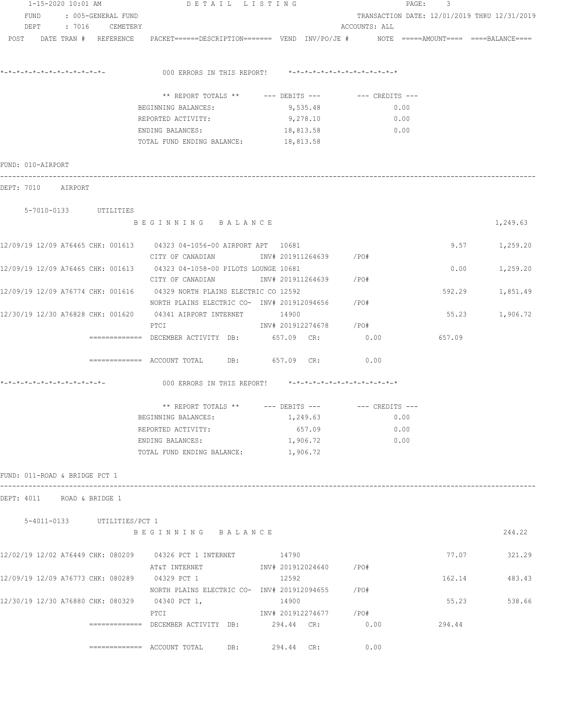| 1-15-2020 10:01 AM                             |                    | DETAIL LISTING                                                                                                 |                        |                                              | PAGE:<br>3 |                 |
|------------------------------------------------|--------------------|----------------------------------------------------------------------------------------------------------------|------------------------|----------------------------------------------|------------|-----------------|
| FUND                                           | : 005-GENERAL FUND |                                                                                                                |                        | TRANSACTION DATE: 12/01/2019 THRU 12/31/2019 |            |                 |
| DEPT                                           | : 7016 CEMETERY    |                                                                                                                |                        | ACCOUNTS: ALL                                |            |                 |
|                                                |                    | POST DATE TRAN # REFERENCE PACKET======DESCRIPTION======= VEND INV/PO/JE # NOTE =====AMOUNT==== ===BALANCE==== |                        |                                              |            |                 |
|                                                |                    | 000 ERRORS IN THIS REPORT! *-*-*-*-*-*-*-*-*-*-*-*-*-*-                                                        |                        |                                              |            |                 |
|                                                |                    | ** REPORT TOTALS ** --- DEBITS --- -- CREDITS ---                                                              |                        |                                              |            |                 |
|                                                |                    | BEGINNING BALANCES:                                                                                            | 9,535.48               | 0.00                                         |            |                 |
|                                                |                    | REPORTED ACTIVITY:                                                                                             | 9,278.10               | 0.00                                         |            |                 |
|                                                |                    | ENDING BALANCES:                                                                                               | 18,813.58              | 0.00                                         |            |                 |
|                                                |                    | TOTAL FUND ENDING BALANCE: 18,813.58                                                                           |                        |                                              |            |                 |
| FUND: 010-AIRPORT                              |                    |                                                                                                                |                        |                                              |            |                 |
| DEPT: 7010 AIRPORT                             |                    |                                                                                                                |                        |                                              |            |                 |
| 5-7010-0133 UTILITIES                          |                    |                                                                                                                |                        |                                              |            |                 |
|                                                |                    | BEGINNING BALANCE                                                                                              |                        |                                              |            | 1,249.63        |
|                                                |                    | 12/09/19 12/09 A76465 CHK: 001613 04323 04-1056-00 AIRPORT APT 10681                                           |                        |                                              |            | $9.57$ 1,259.20 |
|                                                |                    | CITY OF CANADIAN                 INV# 201911264639         /PO#                                                |                        |                                              |            |                 |
|                                                |                    | 12/09/19 12/09 A76465 CHK: 001613 04323 04-1058-00 PILOTS LOUNGE 10681                                         |                        |                                              | 0.00       | 1,259.20        |
|                                                |                    | CITY OF CANADIAN                         INV# 201911264639           /PO#                                      |                        |                                              |            |                 |
|                                                |                    | 12/09/19 12/09 A76774 CHK: 001616 04329 NORTH PLAINS ELECTRIC CO 12592                                         |                        |                                              | 592.29     | 1,851.49        |
|                                                |                    | NORTH PLAINS ELECTRIC CO- INV# 201912094656                                                                    |                        | /PO#                                         |            |                 |
|                                                |                    | 12/30/19 12/30 A76828 CHK: 001620 04341 AIRPORT INTERNET 14900                                                 |                        |                                              |            | 55.23 1,906.72  |
|                                                |                    | PTCI                                                                                                           | INV# 201912274678 /PO# |                                              |            |                 |
|                                                |                    | ============= DECEMBER ACTIVITY DB: 657.09 CR:                                                                 |                        | 0.00                                         | 657.09     |                 |
|                                                |                    | ============ ACCOUNT TOTAL DB: 657.09 CR:                                                                      |                        | 0.00                                         |            |                 |
|                                                |                    | 000 ERRORS IN THIS REPORT! *-*-*-*-*-*-*-*-*-*-*-*-*-*-                                                        |                        |                                              |            |                 |
|                                                |                    | ** REPORT TOTALS ** --- DEBITS --- -- -- CREDITS ---                                                           |                        |                                              |            |                 |
|                                                |                    | BEGINNING BALANCES:                                                                                            | 1,249.63               | 0.00                                         |            |                 |
|                                                |                    | REPORTED ACTIVITY:                                                                                             | 657.09                 | 0.00                                         |            |                 |
|                                                |                    | ENDING BALANCES:                                                                                               | 1,906.72               | 0.00                                         |            |                 |
|                                                |                    | TOTAL FUND ENDING BALANCE:                                                                                     | 1,906.72               |                                              |            |                 |
| FUND: 011-ROAD & BRIDGE PCT 1                  |                    |                                                                                                                |                        |                                              |            |                 |
| DEPT: 4011 ROAD & BRIDGE 1                     |                    |                                                                                                                |                        |                                              |            |                 |
| 5-4011-0133 UTILITIES/PCT 1                    |                    | BEGINNING BALANCE                                                                                              |                        |                                              |            | 244.22          |
|                                                |                    |                                                                                                                |                        |                                              |            |                 |
|                                                |                    | 12/02/19 12/02 A76449 CHK: 080209 04326 PCT 1 INTERNET 14790                                                   |                        |                                              | 77.07      | 321.29          |
|                                                |                    | AT&T INTERNET                                                                                                  | INV# 201912024640 /PO# |                                              |            |                 |
| 12/09/19 12/09 A76773 CHK: 080289 04329 PCT 1  |                    |                                                                                                                | 12592                  |                                              | 162.14     | 483.43          |
|                                                |                    | NORTH PLAINS ELECTRIC CO- INV# 201912094655                                                                    |                        | $/$ PO#                                      |            |                 |
| 12/30/19 12/30 A76880 CHK: 080329 04340 PCT 1, |                    |                                                                                                                | 14900                  |                                              | 55.23      | 538.66          |
|                                                |                    | PTCI                                                                                                           | INV# 201912274677 /PO# |                                              |            |                 |
|                                                |                    | $\texttt{-----} \texttt{-----}$ DECEMBER ACTIVITY DB: 294.44 CR:                                               |                        | 0.00                                         | 294.44     |                 |
|                                                |                    | =============    ACCOUNT  TOTAL<br>DB:                                                                         | 294.44 CR:             | 0.00                                         |            |                 |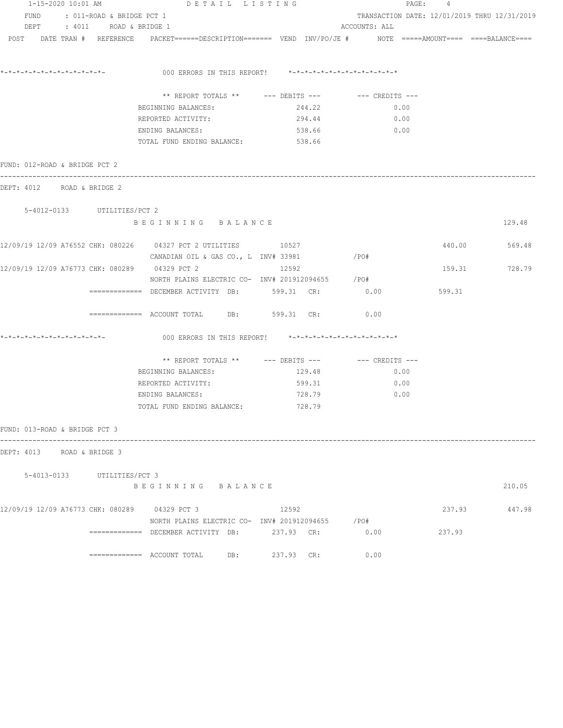| 1-15-2020 10:01 AM            |                             | DETAIL LISTING                                                                                                  |            |               | PAGE: 4                                      |               |
|-------------------------------|-----------------------------|-----------------------------------------------------------------------------------------------------------------|------------|---------------|----------------------------------------------|---------------|
| FUND                          | : 011-ROAD & BRIDGE PCT 1   |                                                                                                                 |            |               | TRANSACTION DATE: 12/01/2019 THRU 12/31/2019 |               |
|                               | DEPT : 4011 ROAD & BRIDGE 1 |                                                                                                                 |            | ACCOUNTS: ALL |                                              |               |
|                               |                             | POST DATE TRAN # REFERENCE PACKET======DESCRIPTION======= VEND INV/PO/JE # NOTE =====AMOUNT==== ====BALANCE==== |            |               |                                              |               |
|                               |                             |                                                                                                                 |            |               |                                              |               |
|                               |                             | 000 ERRORS IN THIS REPORT! *-*-*-*-*-*-*-*-*-*-*-*-*-*-                                                         |            |               |                                              |               |
|                               |                             | ** REPORT TOTALS ** --- DEBITS --- -- CREDITS ---                                                               |            |               |                                              |               |
|                               |                             | BEGINNING BALANCES:                                                                                             | 244.22     | 0.00          |                                              |               |
|                               |                             | REPORTED ACTIVITY:                                                                                              | 294.44     | 0.00          |                                              |               |
|                               |                             | ENDING BALANCES:                                                                                                | 538.66     | 0.00          |                                              |               |
|                               |                             | TOTAL FUND ENDING BALANCE: 538.66                                                                               |            |               |                                              |               |
| FUND: 012-ROAD & BRIDGE PCT 2 |                             |                                                                                                                 |            |               |                                              |               |
| DEPT: 4012 ROAD & BRIDGE 2    |                             |                                                                                                                 |            |               |                                              |               |
| 5-4012-0133 UTILITIES/PCT 2   |                             |                                                                                                                 |            |               |                                              |               |
|                               |                             | BEGINNING BALANCE                                                                                               |            |               |                                              | 129.48        |
|                               |                             | 12/09/19 12/09 A76552 CHK: 080226 04327 PCT 2 UTILITIES 10527                                                   |            |               | 440.00                                       | 569.48        |
|                               |                             | CANADIAN OIL & GAS CO., L INV# 33981                                                                            |            | $/$ PO#       |                                              |               |
|                               |                             | 12/09/19 12/09 A76773 CHK: 080289 04329 PCT 2                                                                   | 12592      |               |                                              | 159.31 728.79 |
|                               |                             | NORTH PLAINS ELECTRIC CO- INV# 201912094655 / PO#                                                               |            |               |                                              |               |
|                               |                             | ============ DECEMBER ACTIVITY DB: 599.31 CR: 0.00                                                              |            |               | 599.31                                       |               |
|                               |                             | $\overline{\phantom{1}}$ ============= ACCOUNT TOTAL DB: 599.31 CR:                                             |            | 0.00          |                                              |               |
| *-*-*-*-*-*-*-*-*-*-*-*-*-*-  |                             | 000 ERRORS IN THIS REPORT! *-*-*-*-*-*-*-*-*-*-*-*-*-*-                                                         |            |               |                                              |               |
|                               |                             | ** REPORT TOTALS ** --- DEBITS --- -- -- CREDITS ---                                                            |            |               |                                              |               |
|                               |                             | BEGINNING BALANCES:                                                                                             | 129.48     | 0.00          |                                              |               |
|                               |                             | REPORTED ACTIVITY:                                                                                              | 599.31     | 0.00          |                                              |               |
|                               |                             | ENDING BALANCES:                                                                                                | 728.79     | 0.00          |                                              |               |
|                               |                             | TOTAL FUND ENDING BALANCE:                                                                                      | 728.79     |               |                                              |               |
| FUND: 013-ROAD & BRIDGE PCT 3 |                             |                                                                                                                 |            |               |                                              |               |
| DEPT: 4013 ROAD & BRIDGE 3    |                             |                                                                                                                 |            |               |                                              |               |
|                               | 5-4013-0133 UTILITIES/PCT 3 |                                                                                                                 |            |               |                                              |               |
|                               |                             | BEGINNING BALANCE                                                                                               |            |               |                                              | 210.05        |
|                               |                             | 12/09/19 12/09 A76773 CHK: 080289 04329 PCT 3                                                                   | 12592      |               | 237.93                                       | 447.98        |
|                               |                             | NORTH PLAINS ELECTRIC CO- INV# 201912094655 / PO#                                                               |            |               |                                              |               |
|                               |                             |                                                                                                                 |            | 0.00          | 237.93                                       |               |
|                               |                             |                                                                                                                 | 237.93 CR: | 0.00          |                                              |               |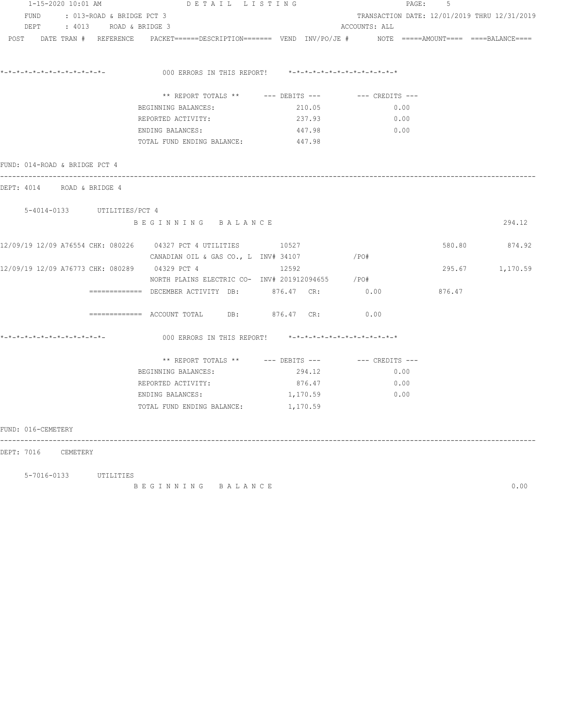| 1-15-2020 10:01 AM                                | DETAIL LISTING                                                                                                  |          |                                              | .5<br>PAGE: |                 |
|---------------------------------------------------|-----------------------------------------------------------------------------------------------------------------|----------|----------------------------------------------|-------------|-----------------|
| FUND : 013-ROAD & BRIDGE PCT 3                    |                                                                                                                 |          | TRANSACTION DATE: 12/01/2019 THRU 12/31/2019 |             |                 |
| DEPT : 4013 ROAD & BRIDGE 3                       |                                                                                                                 |          | ACCOUNTS: ALL                                |             |                 |
|                                                   | POST DATE TRAN # REFERENCE PACKET======DESCRIPTION======= VEND INV/PO/JE # NOTE =====AMOUNT==== ====BALANCE==== |          |                                              |             |                 |
|                                                   | 000 ERRORS IN THIS REPORT! *-*-*-*-*-*-*-*-*-*-*-*-*-*-                                                         |          |                                              |             |                 |
|                                                   | ** REPORT TOTALS ** --- DEBITS --- -- CREDITS ---                                                               |          |                                              |             |                 |
|                                                   | BEGINNING BALANCES:                                                                                             | 210.05   | 0.00                                         |             |                 |
|                                                   | REPORTED ACTIVITY:                                                                                              | 237.93   | 0.00                                         |             |                 |
|                                                   | ENDING BALANCES:                                                                                                | 447.98   | 0.00                                         |             |                 |
|                                                   | TOTAL FUND ENDING BALANCE:                                                                                      | 447.98   |                                              |             |                 |
| FUND: 014-ROAD & BRIDGE PCT 4                     |                                                                                                                 |          |                                              |             |                 |
| DEPT: 4014 ROAD & BRIDGE 4                        |                                                                                                                 |          |                                              |             |                 |
| 5-4014-0133 UTILITIES/PCT 4                       |                                                                                                                 |          |                                              |             |                 |
|                                                   | BEGINNING BALANCE                                                                                               |          |                                              |             | 294.12          |
|                                                   |                                                                                                                 |          |                                              |             | 580.80 874.92   |
|                                                   | CANADIAN OIL & GAS CO., L INV# 34107 / PO#                                                                      |          |                                              |             |                 |
| 12/09/19 12/09 A76773 CHK: 080289     04329 PCT 4 |                                                                                                                 | 12592    |                                              |             | 295.67 1,170.59 |
|                                                   | NORTH PLAINS ELECTRIC CO- INV# 201912094655 / PO#                                                               |          |                                              |             |                 |
|                                                   | ============= DECEMBER ACTIVITY DB: 876.47 CR:                                                                  |          | 0.00                                         | 876.47      |                 |
|                                                   | $\overline{\phantom{1}}$ ============ ACCOUNT TOTAL DB: 876.47 CR:                                              |          | 0.00                                         |             |                 |
|                                                   | 000 ERRORS IN THIS REPORT! $*-*-*-*-*-*-*-*-*-*-*-*-*-*-*$                                                      |          |                                              |             |                 |
|                                                   | ** REPORT TOTALS ** $---$ DEBITS --- $---$ CREDITS ---                                                          |          |                                              |             |                 |
|                                                   | BEGINNING BALANCES: 294.12                                                                                      |          | 0.00                                         |             |                 |
|                                                   | REPORTED ACTIVITY: 876.47                                                                                       |          | $\sim 0.00$                                  |             |                 |
|                                                   | ENDING BALANCES:                                                                                                | 1,170.59 | $\sim$ 0.00                                  |             |                 |
|                                                   | TOTAL FUND ENDING BALANCE: 1,170.59                                                                             |          |                                              |             |                 |
| FUND: 016-CEMETERY                                |                                                                                                                 |          |                                              |             |                 |
| DEPT: 7016 CEMETERY                               |                                                                                                                 |          |                                              |             |                 |
|                                                   |                                                                                                                 |          |                                              |             |                 |

B E G I N N I N G B A L A N C E 0.00